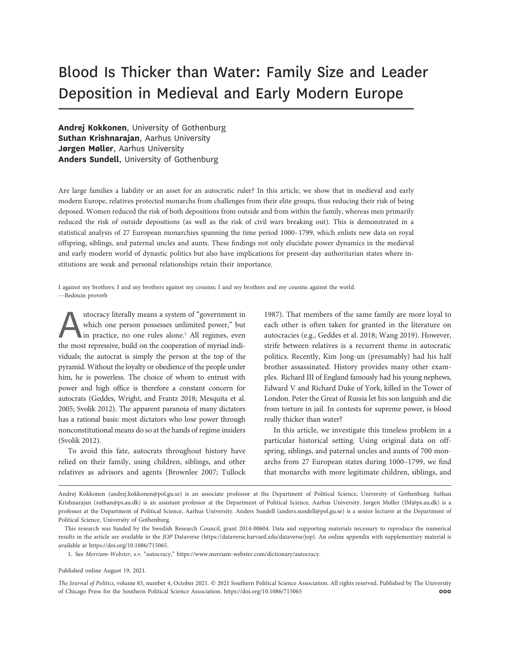# Blood Is Thicker than Water: Family Size and Leader Deposition in Medieval and Early Modern Europe

Andrej Kokkonen, University of Gothenburg Suthan Krishnarajan, Aarhus University Jørgen Møller, Aarhus University Anders Sundell, University of Gothenburg

Are large families a liability or an asset for an autocratic ruler? In this article, we show that in medieval and early modern Europe, relatives protected monarchs from challenges from their elite groups, thus reducing their risk of being deposed. Women reduced the risk of both depositions from outside and from within the family, whereas men primarily reduced the risk of outside depositions (as well as the risk of civil wars breaking out). This is demonstrated in a statistical analysis of 27 European monarchies spanning the time period 1000–1799, which enlists new data on royal offspring, siblings, and paternal uncles and aunts. These findings not only elucidate power dynamics in the medieval and early modern world of dynastic politics but also have implications for present-day authoritarian states where institutions are weak and personal relationships retain their importance.

I against my brothers; I and my brothers against my cousins; I and my brothers and my cousins against the world. —Bedouin proverb

utocracy literally means a system of "government in<br>which one person possesses unlimited power," but<br>in practice, no one rules alone.<sup>1</sup> All regimes, even<br>the most repressive, build on the cooperation of myriad indiwhich one person possesses unlimited power," but in practice, no one rules alone.<sup>1</sup> All regimes, even the most repressive, build on the cooperation of myriad individuals; the autocrat is simply the person at the top of the pyramid. Without the loyalty or obedience of the people under him, he is powerless. The choice of whom to entrust with power and high office is therefore a constant concern for autocrats (Geddes, Wright, and Frantz 2018; Mesquita et al. 2005; Svolik 2012). The apparent paranoia of many dictators has a rational basis: most dictators who lose power through nonconstitutional means do so at the hands of regime insiders (Svolik 2012).

To avoid this fate, autocrats throughout history have relied on their family, using children, siblings, and other relatives as advisors and agents (Brownlee 2007; Tullock

1987). That members of the same family are more loyal to each other is often taken for granted in the literature on autocracies (e.g., Geddes et al. 2018; Wang 2019). However, strife between relatives is a recurrent theme in autocratic politics. Recently, Kim Jong-un (presumably) had his half brother assassinated. History provides many other examples. Richard III of England famously had his young nephews, Edward V and Richard Duke of York, killed in the Tower of London. Peter the Great of Russia let his son languish and die from torture in jail. In contests for supreme power, is blood really thicker than water?

In this article, we investigate this timeless problem in a particular historical setting. Using original data on offspring, siblings, and paternal uncles and aunts of 700 monarchs from 27 European states during 1000–1799, we find that monarchs with more legitimate children, siblings, and

Published online August 19, 2021.

The Journal of Politics, volume 83, number 4, October 2021. © 2021 Southern Political Science Association. All rights reserved. Published by The University of Chicago Press for the Southern Political Science Association. https://doi.org/10.1086/715065 000

Andrej Kokkonen ([andrej.kokkonen@pol.gu.se\)](mailto:andrej.kokkonen@pol.gu.se) is an associate professor at the Department of Political Science, University of Gothenburg. Suthan Krishnarajan [\(suthan@ps.au.dk\)](mailto:suthan@ps.au.dk) is an assistant professor at the Department of Political Science, Aarhus University. Jørgen Møller [\(JM@ps.au.dk\)](mailto:JM@ps.au.dk) is a professor at the Department of Political Science, Aarhus University. Anders Sundell [\(anders.sundell@pol.gu.se](mailto:anders.sundell@pol.gu.se)) is a senior lecturer at the Department of Political Science, University of Gothenburg.

This research was funded by the Swedish Research Council, grant 2014-00604. Data and supporting materials necessary to reproduce the numerical results in the article are available in the JOP Dataverse [\(https://dataverse.harvard.edu/dataverse/jop](https://dataverse.harvard.edu/dataverse/jop)). An online appendix with supplementary material is available at<https://doi.org/10.1086/715065>.

<sup>1.</sup> See Merriam-Webster, s.v. "autocracy," <https://www.merriam-webster.com/dictionary/autocracy>.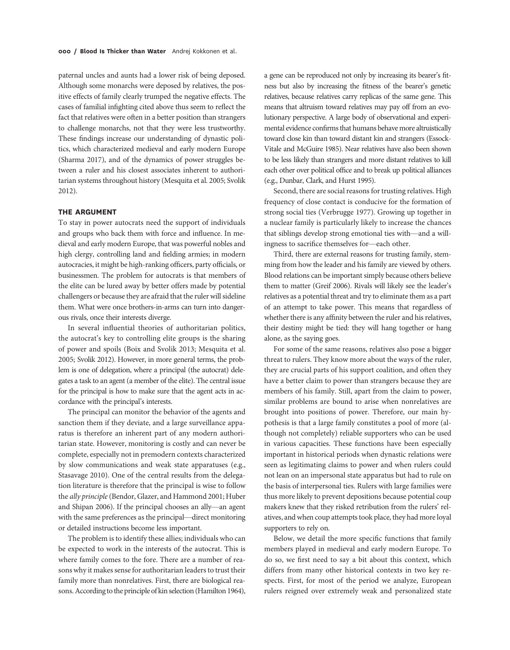paternal uncles and aunts had a lower risk of being deposed. Although some monarchs were deposed by relatives, the positive effects of family clearly trumped the negative effects. The cases of familial infighting cited above thus seem to reflect the fact that relatives were often in a better position than strangers to challenge monarchs, not that they were less trustworthy. These findings increase our understanding of dynastic politics, which characterized medieval and early modern Europe (Sharma 2017), and of the dynamics of power struggles between a ruler and his closest associates inherent to authoritarian systems throughout history (Mesquita et al. 2005; Svolik 2012).

## THE ARGUMENT

To stay in power autocrats need the support of individuals and groups who back them with force and influence. In medieval and early modern Europe, that was powerful nobles and high clergy, controlling land and fielding armies; in modern autocracies, it might be high-ranking officers, party officials, or businessmen. The problem for autocrats is that members of the elite can be lured away by better offers made by potential challengers or because they are afraid that the ruler will sideline them. What were once brothers-in-arms can turn into dangerous rivals, once their interests diverge.

In several influential theories of authoritarian politics, the autocrat's key to controlling elite groups is the sharing of power and spoils (Boix and Svolik 2013; Mesquita et al. 2005; Svolik 2012). However, in more general terms, the problem is one of delegation, where a principal (the autocrat) delegates a task to an agent (a member of the elite). The central issue for the principal is how to make sure that the agent acts in accordance with the principal's interests.

The principal can monitor the behavior of the agents and sanction them if they deviate, and a large surveillance apparatus is therefore an inherent part of any modern authoritarian state. However, monitoring is costly and can never be complete, especially not in premodern contexts characterized by slow communications and weak state apparatuses (e.g., Stasavage 2010). One of the central results from the delegation literature is therefore that the principal is wise to follow the ally principle(Bendor, Glazer, and Hammond 2001; Huber and Shipan 2006). If the principal chooses an ally—an agent with the same preferences as the principal—direct monitoring or detailed instructions become less important.

The problem is to identify these allies; individuals who can be expected to work in the interests of the autocrat. This is where family comes to the fore. There are a number of reasons why it makes sense for authoritarian leaders to trust their family more than nonrelatives. First, there are biological reasons. According to the principle of kin selection (Hamilton 1964),

a gene can be reproduced not only by increasing its bearer's fitness but also by increasing the fitness of the bearer's genetic relatives, because relatives carry replicas of the same gene. This means that altruism toward relatives may pay off from an evolutionary perspective. A large body of observational and experimental evidence confirms that humans behave more altruistically toward close kin than toward distant kin and strangers (Essock-Vitale and McGuire 1985). Near relatives have also been shown to be less likely than strangers and more distant relatives to kill each other over political office and to break up political alliances (e.g., Dunbar, Clark, and Hurst 1995).

Second, there are social reasons for trusting relatives. High frequency of close contact is conducive for the formation of strong social ties (Verbrugge 1977). Growing up together in a nuclear family is particularly likely to increase the chances that siblings develop strong emotional ties with—and a willingness to sacrifice themselves for—each other.

Third, there are external reasons for trusting family, stemming from how the leader and his family are viewed by others. Blood relations can be important simply because others believe them to matter (Greif 2006). Rivals will likely see the leader's relatives as a potential threat and try to eliminate them as a part of an attempt to take power. This means that regardless of whether there is any affinity between the ruler and his relatives, their destiny might be tied: they will hang together or hang alone, as the saying goes.

For some of the same reasons, relatives also pose a bigger threat to rulers. They know more about the ways of the ruler, they are crucial parts of his support coalition, and often they have a better claim to power than strangers because they are members of his family. Still, apart from the claim to power, similar problems are bound to arise when nonrelatives are brought into positions of power. Therefore, our main hypothesis is that a large family constitutes a pool of more (although not completely) reliable supporters who can be used in various capacities. These functions have been especially important in historical periods when dynastic relations were seen as legitimating claims to power and when rulers could not lean on an impersonal state apparatus but had to rule on the basis of interpersonal ties. Rulers with large families were thus more likely to prevent depositions because potential coup makers knew that they risked retribution from the rulers' relatives, and when coup attempts took place, they had more loyal supporters to rely on.

Below, we detail the more specific functions that family members played in medieval and early modern Europe. To do so, we first need to say a bit about this context, which differs from many other historical contexts in two key respects. First, for most of the period we analyze, European rulers reigned over extremely weak and personalized state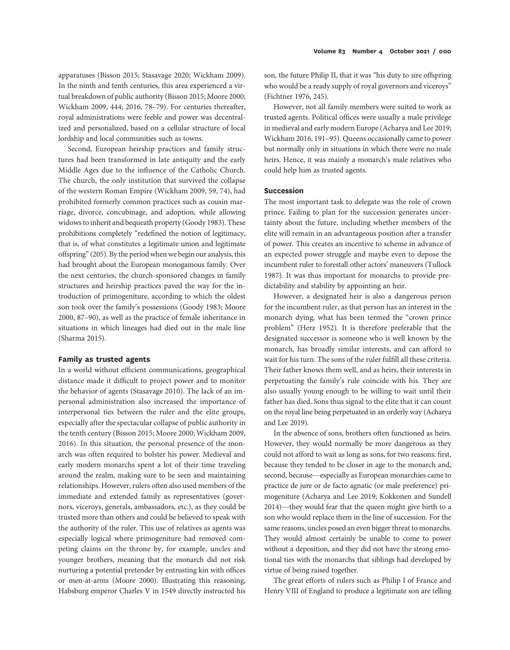apparatuses (Bisson 2015; Stasavage 2020; Wickham 2009). In the ninth and tenth centuries, this area experienced a virtual breakdown of public authority (Bisson 2015; Moore 2000; Wickham 2009, 444; 2016, 78–79). For centuries thereafter, royal administrations were feeble and power was decentralized and personalized, based on a cellular structure of local

lordship and local communities such as towns.

Second, European heirship practices and family structures had been transformed in late antiquity and the early Middle Ages due to the influence of the Catholic Church. The church, the only institution that survived the collapse of the western Roman Empire (Wickham 2009, 59, 74), had prohibited formerly common practices such as cousin marriage, divorce, concubinage, and adoption, while allowing widows to inherit and bequeath property (Goody 1983). These prohibitions completely "redefined the notion of legitimacy, that is, of what constitutes a legitimate union and legitimate offspring"(205). By the period when we begin our analysis, this had brought about the European monogamous family. Over the next centuries, the church-sponsored changes in family structures and heirship practices paved the way for the introduction of primogeniture, according to which the oldest son took over the family's possessions (Goody 1983; Moore 2000, 87–90), as well as the practice of female inheritance in situations in which lineages had died out in the male line (Sharma 2015).

# Family as trusted agents

In a world without efficient communications, geographical distance made it difficult to project power and to monitor the behavior of agents (Stasavage 2010). The lack of an impersonal administration also increased the importance of interpersonal ties between the ruler and the elite groups, especially after the spectacular collapse of public authority in the tenth century (Bisson 2015; Moore 2000; Wickham 2009, 2016). In this situation, the personal presence of the monarch was often required to bolster his power. Medieval and early modern monarchs spent a lot of their time traveling around the realm, making sure to be seen and maintaining relationships. However, rulers often also used members of the immediate and extended family as representatives (governors, viceroys, generals, ambassadors, etc.), as they could be trusted more than others and could be believed to speak with the authority of the ruler. This use of relatives as agents was especially logical where primogeniture had removed competing claims on the throne by, for example, uncles and younger brothers, meaning that the monarch did not risk nurturing a potential pretender by entrusting kin with offices or men-at-arms (Moore 2000). Illustrating this reasoning, Habsburg emperor Charles V in 1549 directly instructed his son, the future Philip II, that it was "his duty to sire offspring who would be a ready supply of royal governors and viceroys" (Fichtner 1976, 245).

However, not all family members were suited to work as trusted agents. Political offices were usually a male privilege in medieval and early modern Europe (Acharya and Lee 2019; Wickham 2016, 191–95). Queens occasionally came to power but normally only in situations in which there were no male heirs. Hence, it was mainly a monarch's male relatives who could help him as trusted agents.

# Succession

The most important task to delegate was the role of crown prince. Failing to plan for the succession generates uncertainty about the future, including whether members of the elite will remain in an advantageous position after a transfer of power. This creates an incentive to scheme in advance of an expected power struggle and maybe even to depose the incumbent ruler to forestall other actors' maneuvers (Tullock 1987). It was thus important for monarchs to provide predictability and stability by appointing an heir.

However, a designated heir is also a dangerous person for the incumbent ruler, as that person has an interest in the monarch dying, what has been termed the "crown prince problem" (Herz 1952). It is therefore preferable that the designated successor is someone who is well known by the monarch, has broadly similar interests, and can afford to wait for his turn. The sons of the ruler fulfill all these criteria. Their father knows them well, and as heirs, their interests in perpetuating the family's rule coincide with his. They are also usually young enough to be willing to wait until their father has died. Sons thus signal to the elite that it can count on the royal line being perpetuated in an orderly way (Acharya and Lee 2019).

In the absence of sons, brothers often functioned as heirs. However, they would normally be more dangerous as they could not afford to wait as long as sons, for two reasons: first, because they tended to be closer in age to the monarch and, second, because—especially as European monarchies came to practice de jure or de facto agnatic (or male preference) primogeniture (Acharya and Lee 2019; Kokkonen and Sundell 2014)—they would fear that the queen might give birth to a son who would replace them in the line of succession. For the same reasons, uncles posed an even bigger threat to monarchs. They would almost certainly be unable to come to power without a deposition, and they did not have the strong emotional ties with the monarchs that siblings had developed by virtue of being raised together.

The great efforts of rulers such as Philip I of France and Henry VIII of England to produce a legitimate son are telling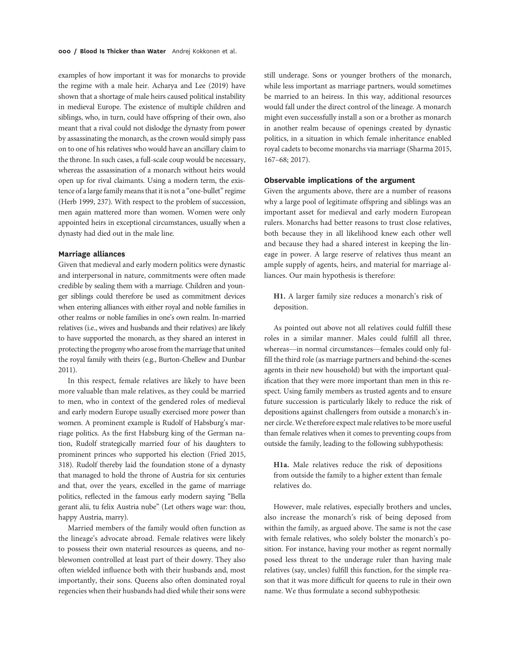examples of how important it was for monarchs to provide the regime with a male heir. Acharya and Lee (2019) have shown that a shortage of male heirs caused political instability in medieval Europe. The existence of multiple children and siblings, who, in turn, could have offspring of their own, also meant that a rival could not dislodge the dynasty from power by assassinating the monarch, as the crown would simply pass on to one of his relatives who would have an ancillary claim to the throne. In such cases, a full-scale coup would be necessary, whereas the assassination of a monarch without heirs would open up for rival claimants. Using a modern term, the existence of a large family means that it is not a "one-bullet" regime (Herb 1999, 237). With respect to the problem of succession, men again mattered more than women. Women were only appointed heirs in exceptional circumstances, usually when a dynasty had died out in the male line.

# Marriage alliances

Given that medieval and early modern politics were dynastic and interpersonal in nature, commitments were often made credible by sealing them with a marriage. Children and younger siblings could therefore be used as commitment devices when entering alliances with either royal and noble families in other realms or noble families in one's own realm. In-married relatives (i.e., wives and husbands and their relatives) are likely to have supported the monarch, as they shared an interest in protecting the progeny who arose from the marriage that united the royal family with theirs (e.g., Burton-Chellew and Dunbar 2011).

In this respect, female relatives are likely to have been more valuable than male relatives, as they could be married to men, who in context of the gendered roles of medieval and early modern Europe usually exercised more power than women. A prominent example is Rudolf of Habsburg's marriage politics. As the first Habsburg king of the German nation, Rudolf strategically married four of his daughters to prominent princes who supported his election (Fried 2015, 318). Rudolf thereby laid the foundation stone of a dynasty that managed to hold the throne of Austria for six centuries and that, over the years, excelled in the game of marriage politics, reflected in the famous early modern saying "Bella gerant alii, tu felix Austria nube" (Let others wage war: thou, happy Austria, marry).

Married members of the family would often function as the lineage's advocate abroad. Female relatives were likely to possess their own material resources as queens, and noblewomen controlled at least part of their dowry. They also often wielded influence both with their husbands and, most importantly, their sons. Queens also often dominated royal regencies when their husbands had died while their sons were

still underage. Sons or younger brothers of the monarch, while less important as marriage partners, would sometimes be married to an heiress. In this way, additional resources would fall under the direct control of the lineage. A monarch might even successfully install a son or a brother as monarch in another realm because of openings created by dynastic politics, in a situation in which female inheritance enabled royal cadets to become monarchs via marriage (Sharma 2015, 167–68; 2017).

# Observable implications of the argument

Given the arguments above, there are a number of reasons why a large pool of legitimate offspring and siblings was an important asset for medieval and early modern European rulers. Monarchs had better reasons to trust close relatives, both because they in all likelihood knew each other well and because they had a shared interest in keeping the lineage in power. A large reserve of relatives thus meant an ample supply of agents, heirs, and material for marriage alliances. Our main hypothesis is therefore:

H1. A larger family size reduces a monarch's risk of deposition.

As pointed out above not all relatives could fulfill these roles in a similar manner. Males could fulfill all three, whereas—in normal circumstances—females could only fulfill the third role (as marriage partners and behind-the-scenes agents in their new household) but with the important qualification that they were more important than men in this respect. Using family members as trusted agents and to ensure future succession is particularly likely to reduce the risk of depositions against challengers from outside a monarch's inner circle. We therefore expect male relatives to be more useful than female relatives when it comes to preventing coups from outside the family, leading to the following subhypothesis:

H1a. Male relatives reduce the risk of depositions from outside the family to a higher extent than female relatives do.

However, male relatives, especially brothers and uncles, also increase the monarch's risk of being deposed from within the family, as argued above. The same is not the case with female relatives, who solely bolster the monarch's position. For instance, having your mother as regent normally posed less threat to the underage ruler than having male relatives (say, uncles) fulfill this function, for the simple reason that it was more difficult for queens to rule in their own name. We thus formulate a second subhypothesis: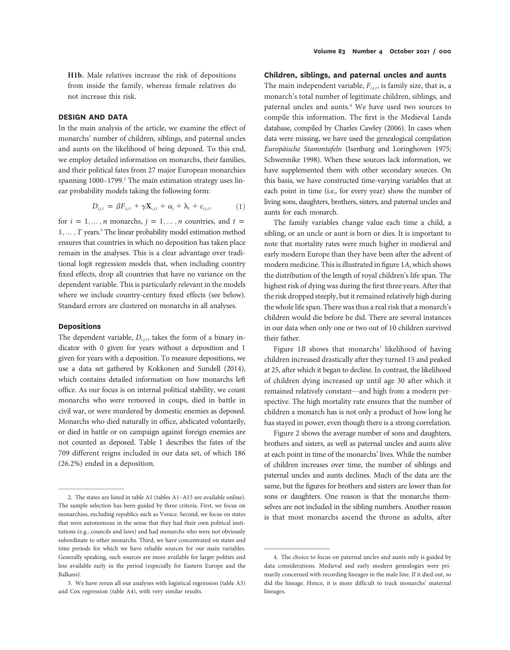H1b. Male relatives increase the risk of depositions from inside the family, whereas female relatives do not increase this risk.

# DESIGN AND DATA

In the main analysis of the article, we examine the effect of monarchs' number of children, siblings, and paternal uncles and aunts on the likelihood of being deposed. To this end, we employ detailed information on monarchs, their families, and their political fates from 27 major European monarchies spanning 1000–1799.<sup>2</sup> The main estimation strategy uses linear probability models taking the following form:

$$
D_{i,j,t} = \beta F_{i,j,t} + \gamma \mathbf{X}_{i,j,t} + \alpha_j + \lambda_t + \varepsilon_{i,j,t}, \qquad (1)
$$

for  $i = 1, ..., n$  monarchs,  $j = 1, ..., n$  countries, and  $t =$ 1, ..., T years.<sup>3</sup> The linear probability model estimation method ensures that countries in which no deposition has taken place remain in the analyses. This is a clear advantage over traditional logit regression models that, when including country fixed effects, drop all countries that have no variance on the dependent variable. This is particularly relevant in the models where we include country-century fixed effects (see below). Standard errors are clustered on monarchs in all analyses.

## Depositions

The dependent variable,  $D_{i,i,t}$ , takes the form of a binary indicator with 0 given for years without a deposition and 1 given for years with a deposition. To measure depositions, we use a data set gathered by Kokkonen and Sundell (2014), which contains detailed information on how monarchs left office. As our focus is on internal political stability, we count monarchs who were removed in coups, died in battle in civil war, or were murdered by domestic enemies as deposed. Monarchs who died naturally in office, abdicated voluntarily, or died in battle or on campaign against foreign enemies are not counted as deposed. Table 1 describes the fates of the 709 different reigns included in our data set, of which 186 (26.2%) ended in a deposition.

## Children, siblings, and paternal uncles and aunts

The main independent variable,  $F_{i,i,t}$ , is family size, that is, a monarch's total number of legitimate children, siblings, and paternal uncles and aunts.4 We have used two sources to compile this information. The first is the Medieval Lands database, compiled by Charles Cawley (2006). In cases when data were missing, we have used the genealogical compilation Europäische Stammtafeln (Isenburg and Loringhoven 1975; Schwennike 1998). When these sources lack information, we have supplemented them with other secondary sources. On this basis, we have constructed time-varying variables that at each point in time (i.e., for every year) show the number of living sons, daughters, brothers, sisters, and paternal uncles and aunts for each monarch.

The family variables change value each time a child, a sibling, or an uncle or aunt is born or dies. It is important to note that mortality rates were much higher in medieval and early modern Europe than they have been after the advent of modern medicine. This is illustrated in figure 1A, which shows the distribution of the length of royal children's life span. The highest risk of dying was during the first three years. After that the risk dropped steeply, but it remained relatively high during the whole life span. There was thus a real risk that a monarch's children would die before he did. There are several instances in our data when only one or two out of 10 children survived their father.

Figure 1B shows that monarchs' likelihood of having children increased drastically after they turned 15 and peaked at 25, after which it began to decline. In contrast, the likelihood of children dying increased up until age 30 after which it remained relatively constant—and high from a modern perspective. The high mortality rate ensures that the number of children a monarch has is not only a product of how long he has stayed in power, even though there is a strong correlation.

Figure 2 shows the average number of sons and daughters, brothers and sisters, as well as paternal uncles and aunts alive at each point in time of the monarchs' lives. While the number of children increases over time, the number of siblings and paternal uncles and aunts declines. Much of the data are the same, but the figures for brothers and sisters are lower than for sons or daughters. One reason is that the monarchs themselves are not included in the sibling numbers. Another reason is that most monarchs ascend the throne as adults, after

<sup>2.</sup> The states are listed in table A1 (tables A1–A15 are available online). The sample selection has been guided by three criteria. First, we focus on monarchies, excluding republics such as Venice. Second, we focus on states that were autonomous in the sense that they had their own political institutions (e.g., councils and laws) and had monarchs who were not obviously subordinate to other monarchs. Third, we have concentrated on states and time periods for which we have reliable sources for our main variables. Generally speaking, such sources are more available for larger polities and less available early in the period (especially for Eastern Europe and the Balkans).

<sup>3.</sup> We have rerun all our analyses with logistical regression (table A3) and Cox regression (table A4), with very similar results.

<sup>4.</sup> The choice to focus on paternal uncles and aunts only is guided by data considerations. Medieval and early modern genealogies were primarily concerned with recording lineages in the male line. If it died out, so did the lineage. Hence, it is more difficult to track monarchs' maternal lineages.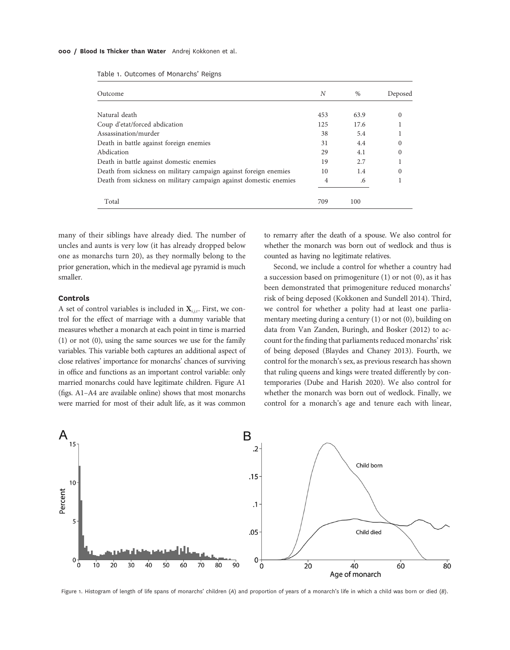#### 000 / Blood Is Thicker than Water Andrej Kokkonen et al.

|  | Table 1. Outcomes of Monarchs' Reigns |  |  |  |
|--|---------------------------------------|--|--|--|
|--|---------------------------------------|--|--|--|

| Outcome                                                           | N   | $\%$ | Deposed  |
|-------------------------------------------------------------------|-----|------|----------|
|                                                                   |     |      |          |
| Natural death                                                     | 453 | 63.9 | $\Omega$ |
| Coup d'etat/forced abdication                                     | 125 | 17.6 |          |
| Assassination/murder                                              | 38  | 5.4  |          |
| Death in battle against foreign enemies                           | 31  | 4.4  |          |
| Abdication                                                        | 29  | 4.1  |          |
| Death in battle against domestic enemies                          | 19  | 2.7  |          |
| Death from sickness on military campaign against foreign enemies  | 10  | 1.4  | $\Omega$ |
| Death from sickness on military campaign against domestic enemies | 4   | .6   |          |
| Total                                                             | 709 | 100  |          |

many of their siblings have already died. The number of uncles and aunts is very low (it has already dropped below one as monarchs turn 20), as they normally belong to the prior generation, which in the medieval age pyramid is much smaller.

## Controls

A set of control variables is included in  $X_{i,j,t}$ . First, we control for the effect of marriage with a dummy variable that measures whether a monarch at each point in time is married (1) or not (0), using the same sources we use for the family variables. This variable both captures an additional aspect of close relatives' importance for monarchs' chances of surviving in office and functions as an important control variable: only married monarchs could have legitimate children. Figure A1 (figs. A1–A4 are available online) shows that most monarchs were married for most of their adult life, as it was common

to remarry after the death of a spouse. We also control for whether the monarch was born out of wedlock and thus is counted as having no legitimate relatives.

Second, we include a control for whether a country had a succession based on primogeniture (1) or not (0), as it has been demonstrated that primogeniture reduced monarchs' risk of being deposed (Kokkonen and Sundell 2014). Third, we control for whether a polity had at least one parliamentary meeting during a century (1) or not (0), building on data from Van Zanden, Buringh, and Bosker (2012) to account for the finding that parliaments reduced monarchs' risk of being deposed (Blaydes and Chaney 2013). Fourth, we control for the monarch's sex, as previous research has shown that ruling queens and kings were treated differently by contemporaries (Dube and Harish 2020). We also control for whether the monarch was born out of wedlock. Finally, we control for a monarch's age and tenure each with linear,



Figure 1. Histogram of length of life spans of monarchs' children (A) and proportion of years of a monarch's life in which a child was born or died (B).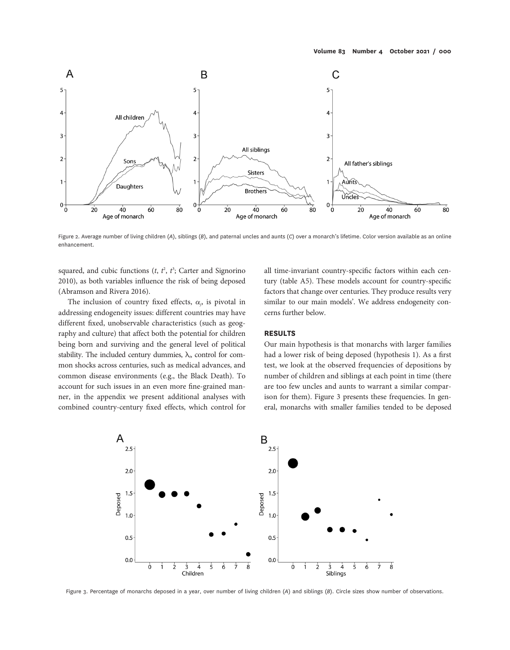![](_page_6_Figure_1.jpeg)

Figure 2. Average number of living children (A), siblings (B), and paternal uncles and aunts (C) over a monarch's lifetime. Color version available as an online enhancement.

squared, and cubic functions  $(t, t^2, t^3)$ ; Carter and Signorino 2010), as both variables influence the risk of being deposed (Abramson and Rivera 2016).

The inclusion of country fixed effects,  $\alpha_i$ , is pivotal in addressing endogeneity issues: different countries may have different fixed, unobservable characteristics (such as geography and culture) that affect both the potential for children being born and surviving and the general level of political stability. The included century dummies,  $\lambda_p$  control for common shocks across centuries, such as medical advances, and common disease environments (e.g., the Black Death). To account for such issues in an even more fine-grained manner, in the appendix we present additional analyses with combined country-century fixed effects, which control for

all time-invariant country-specific factors within each century (table A5). These models account for country-specific factors that change over centuries. They produce results very similar to our main models'. We address endogeneity concerns further below.

# RESULTS

Our main hypothesis is that monarchs with larger families had a lower risk of being deposed (hypothesis 1). As a first test, we look at the observed frequencies of depositions by number of children and siblings at each point in time (there are too few uncles and aunts to warrant a similar comparison for them). Figure 3 presents these frequencies. In general, monarchs with smaller families tended to be deposed

![](_page_6_Figure_8.jpeg)

Figure 3. Percentage of monarchs deposed in a year, over number of living children (A) and siblings (B). Circle sizes show number of observations.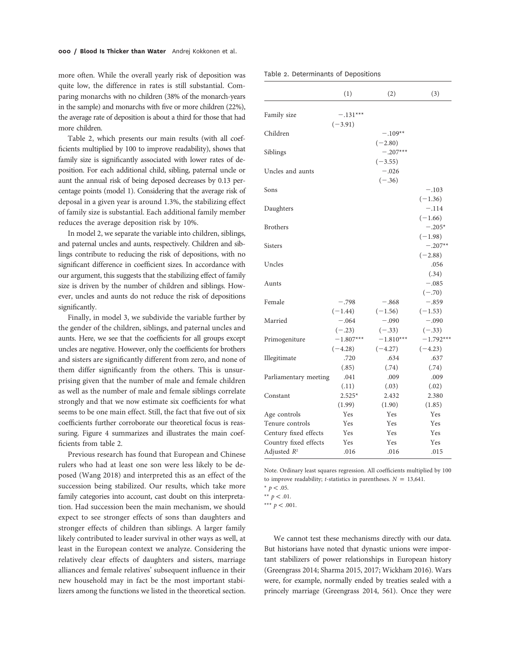more often. While the overall yearly risk of deposition was quite low, the difference in rates is still substantial. Comparing monarchs with no children (38% of the monarch-years in the sample) and monarchs with five or more children (22%), the average rate of deposition is about a third for those that had more children.

Table 2, which presents our main results (with all coefficients multiplied by 100 to improve readability), shows that family size is significantly associated with lower rates of deposition. For each additional child, sibling, paternal uncle or aunt the annual risk of being deposed decreases by 0.13 percentage points (model 1). Considering that the average risk of deposal in a given year is around 1.3%, the stabilizing effect of family size is substantial. Each additional family member reduces the average deposition risk by 10%.

In model 2, we separate the variable into children, siblings, and paternal uncles and aunts, respectively. Children and siblings contribute to reducing the risk of depositions, with no significant difference in coefficient sizes. In accordance with our argument, this suggests that the stabilizing effect of family size is driven by the number of children and siblings. However, uncles and aunts do not reduce the risk of depositions significantly.

Finally, in model 3, we subdivide the variable further by the gender of the children, siblings, and paternal uncles and aunts. Here, we see that the coefficients for all groups except uncles are negative. However, only the coefficients for brothers and sisters are significantly different from zero, and none of them differ significantly from the others. This is unsurprising given that the number of male and female children as well as the number of male and female siblings correlate strongly and that we now estimate six coefficients for what seems to be one main effect. Still, the fact that five out of six coefficients further corroborate our theoretical focus is reassuring. Figure 4 summarizes and illustrates the main coefficients from table 2.

Previous research has found that European and Chinese rulers who had at least one son were less likely to be deposed (Wang 2018) and interpreted this as an effect of the succession being stabilized. Our results, which take more family categories into account, cast doubt on this interpretation. Had succession been the main mechanism, we should expect to see stronger effects of sons than daughters and stronger effects of children than siblings. A larger family likely contributed to leader survival in other ways as well, at least in the European context we analyze. Considering the relatively clear effects of daughters and sisters, marriage alliances and female relatives' subsequent influence in their new household may in fact be the most important stabilizers among the functions we listed in the theoretical section.

|  | Table 2. Determinants of Depositions |  |  |
|--|--------------------------------------|--|--|
|--|--------------------------------------|--|--|

|                       | (1)                              | (2)                              | (3)                              |
|-----------------------|----------------------------------|----------------------------------|----------------------------------|
| Family size           | $-.131***$<br>$(-3.91)$          |                                  |                                  |
| Children              |                                  | $-.109**$<br>$(-2.80)$           |                                  |
| Siblings              |                                  | $-.207***$<br>$(-3.55)$          |                                  |
| Uncles and aunts      |                                  | $-.026$<br>$(-.36)$              |                                  |
| Sons                  |                                  |                                  | $-.103$<br>$(-1.36)$             |
| Daughters             |                                  |                                  | $-.114$<br>$(-1.66)$             |
| <b>Brothers</b>       |                                  |                                  | $-.205*$<br>$(-1.98)$            |
| <b>Sisters</b>        |                                  |                                  | $-.207**$<br>$(-2.88)$           |
| Uncles                |                                  |                                  | .056<br>(.34)                    |
| Aunts                 |                                  |                                  | $-.085$<br>$(-.70)$              |
| Female                | $-.798$                          | $-.868$                          | $-.859$                          |
| Married               | $(-1.44)$<br>$-.064$<br>$(-.23)$ | $(-1.56)$<br>$-.090$<br>$(-.33)$ | $(-1.53)$<br>$-.090$<br>$(-.33)$ |
| Primogeniture         | $-1.807***$                      | $-1.810***$<br>$(-4.27)$         | $-1.792***$                      |
| Illegitimate          | $(-4.28)$<br>.720<br>(.85)       | .634<br>(.74)                    | $(-4.23)$<br>.637<br>(.74)       |
| Parliamentary meeting | .041<br>(.11)                    | .009<br>(.03)                    | .009<br>(.02)                    |
| Constant              | $2.525*$<br>(1.99)               | 2.432<br>(1.90)                  | 2.380<br>(1.85)                  |
| Age controls          | Yes                              | Yes                              | Yes                              |
| Tenure controls       | Yes                              | Yes                              | Yes                              |
| Century fixed effects | Yes                              | Yes                              | Yes                              |
| Country fixed effects | Yes                              | Yes                              | Yes                              |
| Adjusted $R^2$        | .016                             | .016                             | .015                             |

Note. Ordinary least squares regression. All coefficients multiplied by 100 to improve readability; *t*-statistics in parentheses.  $N = 13,641$ . \*  $p < .05$ .

\*\*\*  $p < .001$ .

We cannot test these mechanisms directly with our data. But historians have noted that dynastic unions were important stabilizers of power relationships in European history (Greengrass 2014; Sharma 2015, 2017; Wickham 2016). Wars were, for example, normally ended by treaties sealed with a princely marriage (Greengrass 2014, 561). Once they were

<sup>\*\*</sup>  $p < .01$ .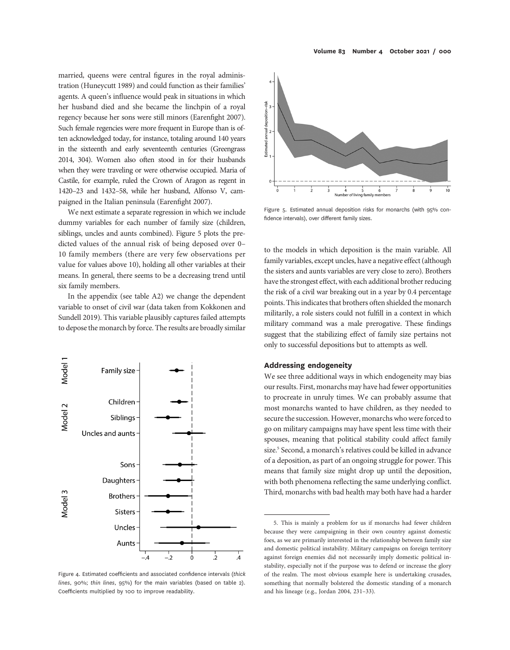married, queens were central figures in the royal administration (Huneycutt 1989) and could function as their families' agents. A queen's influence would peak in situations in which her husband died and she became the linchpin of a royal regency because her sons were still minors (Earenfight 2007). Such female regencies were more frequent in Europe than is often acknowledged today, for instance, totaling around 140 years in the sixteenth and early seventeenth centuries (Greengrass 2014, 304). Women also often stood in for their husbands when they were traveling or were otherwise occupied. Maria of Castile, for example, ruled the Crown of Aragon as regent in 1420–23 and 1432–58, while her husband, Alfonso V, campaigned in the Italian peninsula (Earenfight 2007).

We next estimate a separate regression in which we include dummy variables for each number of family size (children, siblings, uncles and aunts combined). Figure 5 plots the predicted values of the annual risk of being deposed over 0– 10 family members (there are very few observations per value for values above 10), holding all other variables at their means. In general, there seems to be a decreasing trend until six family members.

In the appendix (see table A2) we change the dependent variable to onset of civil war (data taken from Kokkonen and Sundell 2019). This variable plausibly captures failed attempts to depose the monarch by force. The results are broadly similar

![](_page_8_Figure_3.jpeg)

Figure 4. Estimated coefficients and associated confidence intervals (thick lines, 90%; thin lines, 95%) for the main variables (based on table 2). Coefficients multiplied by 100 to improve readability.

![](_page_8_Figure_5.jpeg)

![](_page_8_Figure_6.jpeg)

Figure 5. Estimated annual deposition risks for monarchs (with 95% confidence intervals), over different family sizes.

to the models in which deposition is the main variable. All family variables, except uncles, have a negative effect (although the sisters and aunts variables are very close to zero). Brothers have the strongest effect, with each additional brother reducing the risk of a civil war breaking out in a year by 0.4 percentage points. This indicates that brothers often shielded the monarch militarily, a role sisters could not fulfill in a context in which military command was a male prerogative. These findings suggest that the stabilizing effect of family size pertains not only to successful depositions but to attempts as well.

# Addressing endogeneity

We see three additional ways in which endogeneity may bias our results. First, monarchs may have had fewer opportunities to procreate in unruly times. We can probably assume that most monarchs wanted to have children, as they needed to secure the succession. However, monarchs who were forced to go on military campaigns may have spent less time with their spouses, meaning that political stability could affect family size.<sup>5</sup> Second, a monarch's relatives could be killed in advance of a deposition, as part of an ongoing struggle for power. This means that family size might drop up until the deposition, with both phenomena reflecting the same underlying conflict. Third, monarchs with bad health may both have had a harder

<sup>5.</sup> This is mainly a problem for us if monarchs had fewer children because they were campaigning in their own country against domestic foes, as we are primarily interested in the relationship between family size and domestic political instability. Military campaigns on foreign territory against foreign enemies did not necessarily imply domestic political instability, especially not if the purpose was to defend or increase the glory of the realm. The most obvious example here is undertaking crusades, something that normally bolstered the domestic standing of a monarch and his lineage (e.g., Jordan 2004, 231–33).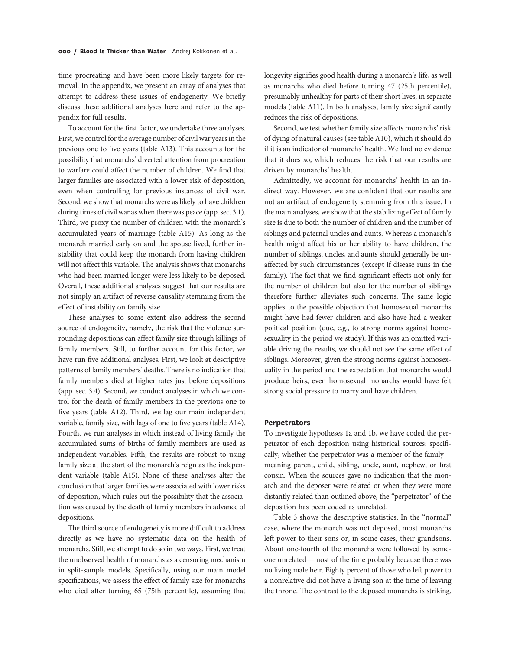time procreating and have been more likely targets for removal. In the appendix, we present an array of analyses that attempt to address these issues of endogeneity. We briefly discuss these additional analyses here and refer to the appendix for full results.

To account for the first factor, we undertake three analyses. First, we control for the average number of civil war years in the previous one to five years (table A13). This accounts for the possibility that monarchs' diverted attention from procreation to warfare could affect the number of children. We find that larger families are associated with a lower risk of deposition, even when controlling for previous instances of civil war. Second, we show that monarchs were as likely to have children during times of civil war as when there was peace (app. sec. 3.1). Third, we proxy the number of children with the monarch's accumulated years of marriage (table A15). As long as the monarch married early on and the spouse lived, further instability that could keep the monarch from having children will not affect this variable. The analysis shows that monarchs who had been married longer were less likely to be deposed. Overall, these additional analyses suggest that our results are not simply an artifact of reverse causality stemming from the effect of instability on family size.

These analyses to some extent also address the second source of endogeneity, namely, the risk that the violence surrounding depositions can affect family size through killings of family members. Still, to further account for this factor, we have run five additional analyses. First, we look at descriptive patterns of family members' deaths. There is no indication that family members died at higher rates just before depositions (app. sec. 3.4). Second, we conduct analyses in which we control for the death of family members in the previous one to five years (table A12). Third, we lag our main independent variable, family size, with lags of one to five years (table A14). Fourth, we run analyses in which instead of living family the accumulated sums of births of family members are used as independent variables. Fifth, the results are robust to using family size at the start of the monarch's reign as the independent variable (table A15). None of these analyses alter the conclusion that larger families were associated with lower risks of deposition, which rules out the possibility that the association was caused by the death of family members in advance of depositions.

The third source of endogeneity is more difficult to address directly as we have no systematic data on the health of monarchs. Still, we attempt to do so in two ways. First, we treat the unobserved health of monarchs as a censoring mechanism in split-sample models. Specifically, using our main model specifications, we assess the effect of family size for monarchs who died after turning 65 (75th percentile), assuming that

longevity signifies good health during a monarch's life, as well as monarchs who died before turning 47 (25th percentile), presumably unhealthy for parts of their short lives, in separate models (table A11). In both analyses, family size significantly reduces the risk of depositions.

Second, we test whether family size affects monarchs' risk of dying of natural causes (see table A10), which it should do if it is an indicator of monarchs' health. We find no evidence that it does so, which reduces the risk that our results are driven by monarchs' health.

Admittedly, we account for monarchs' health in an indirect way. However, we are confident that our results are not an artifact of endogeneity stemming from this issue. In the main analyses, we show that the stabilizing effect of family size is due to both the number of children and the number of siblings and paternal uncles and aunts. Whereas a monarch's health might affect his or her ability to have children, the number of siblings, uncles, and aunts should generally be unaffected by such circumstances (except if disease runs in the family). The fact that we find significant effects not only for the number of children but also for the number of siblings therefore further alleviates such concerns. The same logic applies to the possible objection that homosexual monarchs might have had fewer children and also have had a weaker political position (due, e.g., to strong norms against homosexuality in the period we study). If this was an omitted variable driving the results, we should not see the same effect of siblings. Moreover, given the strong norms against homosexuality in the period and the expectation that monarchs would produce heirs, even homosexual monarchs would have felt strong social pressure to marry and have children.

## **Perpetrators**

To investigate hypotheses 1a and 1b, we have coded the perpetrator of each deposition using historical sources: specifically, whether the perpetrator was a member of the family meaning parent, child, sibling, uncle, aunt, nephew, or first cousin. When the sources gave no indication that the monarch and the deposer were related or when they were more distantly related than outlined above, the "perpetrator" of the deposition has been coded as unrelated.

Table 3 shows the descriptive statistics. In the "normal" case, where the monarch was not deposed, most monarchs left power to their sons or, in some cases, their grandsons. About one-fourth of the monarchs were followed by someone unrelated—most of the time probably because there was no living male heir. Eighty percent of those who left power to a nonrelative did not have a living son at the time of leaving the throne. The contrast to the deposed monarchs is striking.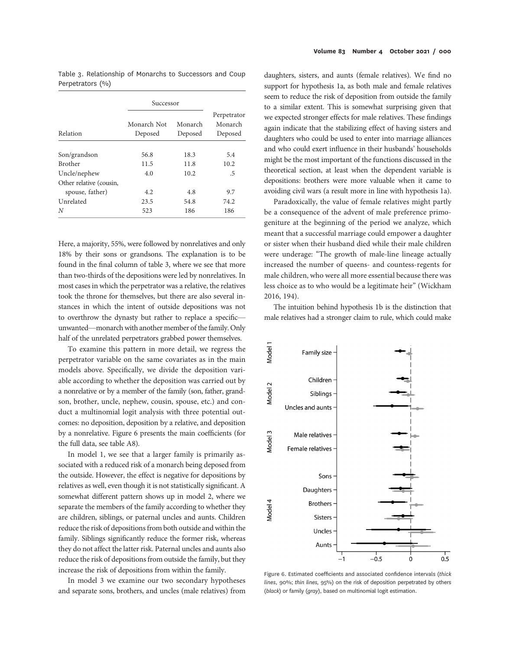|  | Table 3. Relationship of Monarchs to Successors and Coup |  |  |  |
|--|----------------------------------------------------------|--|--|--|
|  | Perpetrators (%)                                         |  |  |  |

|                         | Successor              |                    |                                   |  |
|-------------------------|------------------------|--------------------|-----------------------------------|--|
| Relation                | Monarch Not<br>Deposed | Monarch<br>Deposed | Perpetrator<br>Monarch<br>Deposed |  |
| Son/grandson            | 56.8                   | 18.3               | 5.4                               |  |
| <b>Brother</b>          | 11.5                   | 11.8               | 10.2                              |  |
| Uncle/nephew            | 4.0                    | 10.2               | .5                                |  |
| Other relative (cousin, |                        |                    |                                   |  |
| spouse, father)         | 4.2                    | 4.8                | 9.7                               |  |
| Unrelated               | 23.5                   | 54.8               | 74.2                              |  |
| N                       | 523                    | 186                | 186                               |  |

Here, a majority, 55%, were followed by nonrelatives and only 18% by their sons or grandsons. The explanation is to be found in the final column of table 3, where we see that more than two-thirds of the depositions were led by nonrelatives. In most cases in which the perpetrator was a relative, the relatives took the throne for themselves, but there are also several instances in which the intent of outside depositions was not to overthrow the dynasty but rather to replace a specific unwanted—monarch with another member of the family. Only half of the unrelated perpetrators grabbed power themselves.

To examine this pattern in more detail, we regress the perpetrator variable on the same covariates as in the main models above. Specifically, we divide the deposition variable according to whether the deposition was carried out by a nonrelative or by a member of the family (son, father, grandson, brother, uncle, nephew, cousin, spouse, etc.) and conduct a multinomial logit analysis with three potential outcomes: no deposition, deposition by a relative, and deposition by a nonrelative. Figure 6 presents the main coefficients (for the full data, see table A8).

In model 1, we see that a larger family is primarily associated with a reduced risk of a monarch being deposed from the outside. However, the effect is negative for depositions by relatives as well, even though it is not statistically significant. A somewhat different pattern shows up in model 2, where we separate the members of the family according to whether they are children, siblings, or paternal uncles and aunts. Children reduce the risk of depositions from both outside and within the family. Siblings significantly reduce the former risk, whereas they do not affect the latter risk. Paternal uncles and aunts also reduce the risk of depositions from outside the family, but they increase the risk of depositions from within the family.

In model 3 we examine our two secondary hypotheses and separate sons, brothers, and uncles (male relatives) from

daughters, sisters, and aunts (female relatives). We find no support for hypothesis 1a, as both male and female relatives seem to reduce the risk of deposition from outside the family to a similar extent. This is somewhat surprising given that we expected stronger effects for male relatives. These findings again indicate that the stabilizing effect of having sisters and daughters who could be used to enter into marriage alliances and who could exert influence in their husbands' households might be the most important of the functions discussed in the theoretical section, at least when the dependent variable is depositions: brothers were more valuable when it came to avoiding civil wars (a result more in line with hypothesis 1a).

Paradoxically, the value of female relatives might partly be a consequence of the advent of male preference primogeniture at the beginning of the period we analyze, which meant that a successful marriage could empower a daughter or sister when their husband died while their male children were underage: "The growth of male-line lineage actually increased the number of queens- and countess-regents for male children, who were all more essential because there was less choice as to who would be a legitimate heir" (Wickham 2016, 194).

The intuition behind hypothesis 1b is the distinction that male relatives had a stronger claim to rule, which could make

![](_page_10_Figure_10.jpeg)

Figure 6. Estimated coefficients and associated confidence intervals (thick lines, 90%; thin lines, 95%) on the risk of deposition perpetrated by others (black) or family (gray), based on multinomial logit estimation.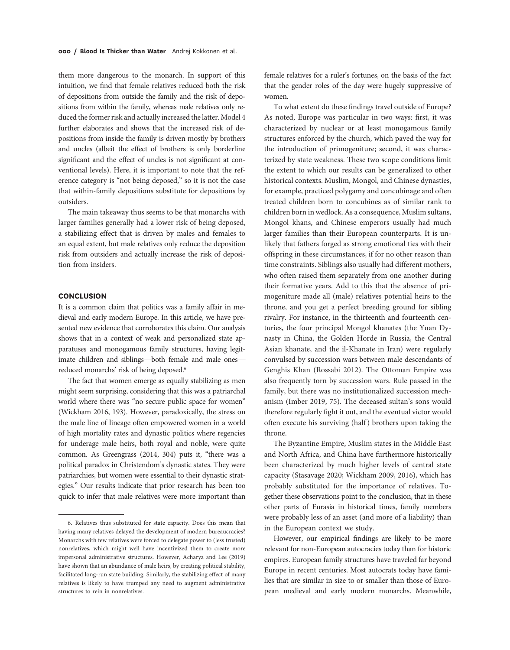them more dangerous to the monarch. In support of this intuition, we find that female relatives reduced both the risk of depositions from outside the family and the risk of depositions from within the family, whereas male relatives only reduced the former risk and actually increased the latter. Model 4 further elaborates and shows that the increased risk of depositions from inside the family is driven mostly by brothers and uncles (albeit the effect of brothers is only borderline significant and the effect of uncles is not significant at conventional levels). Here, it is important to note that the reference category is "not being deposed," so it is not the case that within-family depositions substitute for depositions by outsiders.

The main takeaway thus seems to be that monarchs with larger families generally had a lower risk of being deposed, a stabilizing effect that is driven by males and females to an equal extent, but male relatives only reduce the deposition risk from outsiders and actually increase the risk of deposition from insiders.

## **CONCLUSION**

It is a common claim that politics was a family affair in medieval and early modern Europe. In this article, we have presented new evidence that corroborates this claim. Our analysis shows that in a context of weak and personalized state apparatuses and monogamous family structures, having legitimate children and siblings—both female and male ones reduced monarchs' risk of being deposed.<sup>6</sup>

The fact that women emerge as equally stabilizing as men might seem surprising, considering that this was a patriarchal world where there was "no secure public space for women" (Wickham 2016, 193). However, paradoxically, the stress on the male line of lineage often empowered women in a world of high mortality rates and dynastic politics where regencies for underage male heirs, both royal and noble, were quite common. As Greengrass (2014, 304) puts it, "there was a political paradox in Christendom's dynastic states. They were patriarchies, but women were essential to their dynastic strategies." Our results indicate that prior research has been too quick to infer that male relatives were more important than

female relatives for a ruler's fortunes, on the basis of the fact that the gender roles of the day were hugely suppressive of women.

To what extent do these findings travel outside of Europe? As noted, Europe was particular in two ways: first, it was characterized by nuclear or at least monogamous family structures enforced by the church, which paved the way for the introduction of primogeniture; second, it was characterized by state weakness. These two scope conditions limit the extent to which our results can be generalized to other historical contexts. Muslim, Mongol, and Chinese dynasties, for example, practiced polygamy and concubinage and often treated children born to concubines as of similar rank to children born in wedlock. As a consequence, Muslim sultans, Mongol khans, and Chinese emperors usually had much larger families than their European counterparts. It is unlikely that fathers forged as strong emotional ties with their offspring in these circumstances, if for no other reason than time constraints. Siblings also usually had different mothers, who often raised them separately from one another during their formative years. Add to this that the absence of primogeniture made all (male) relatives potential heirs to the throne, and you get a perfect breeding ground for sibling rivalry. For instance, in the thirteenth and fourteenth centuries, the four principal Mongol khanates (the Yuan Dynasty in China, the Golden Horde in Russia, the Central Asian khanate, and the il-Khanate in Iran) were regularly convulsed by succession wars between male descendants of Genghis Khan (Rossabi 2012). The Ottoman Empire was also frequently torn by succession wars. Rule passed in the family, but there was no institutionalized succession mechanism (Imber 2019, 75). The deceased sultan's sons would therefore regularly fight it out, and the eventual victor would often execute his surviving (half ) brothers upon taking the throne.

The Byzantine Empire, Muslim states in the Middle East and North Africa, and China have furthermore historically been characterized by much higher levels of central state capacity (Stasavage 2020; Wickham 2009, 2016), which has probably substituted for the importance of relatives. Together these observations point to the conclusion, that in these other parts of Eurasia in historical times, family members were probably less of an asset (and more of a liability) than in the European context we study.

However, our empirical findings are likely to be more relevant for non-European autocracies today than for historic empires. European family structures have traveled far beyond Europe in recent centuries. Most autocrats today have families that are similar in size to or smaller than those of European medieval and early modern monarchs. Meanwhile,

<sup>6.</sup> Relatives thus substituted for state capacity. Does this mean that having many relatives delayed the development of modern bureaucracies? Monarchs with few relatives were forced to delegate power to (less trusted) nonrelatives, which might well have incentivized them to create more impersonal administrative structures. However, Acharya and Lee (2019) have shown that an abundance of male heirs, by creating political stability, facilitated long-run state building. Similarly, the stabilizing effect of many relatives is likely to have trumped any need to augment administrative structures to rein in nonrelatives.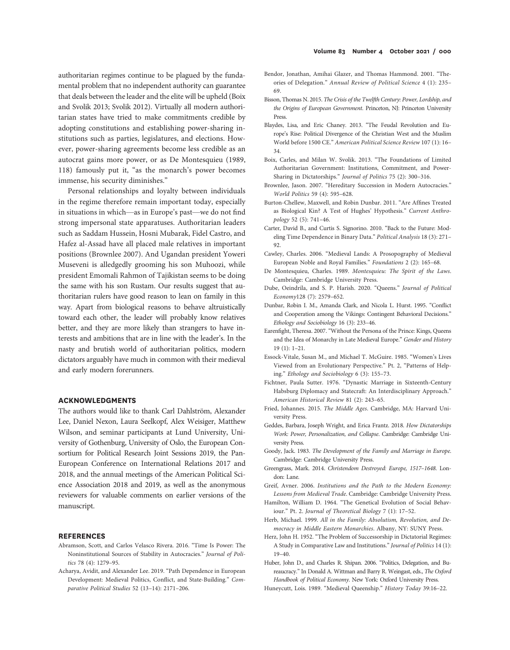authoritarian regimes continue to be plagued by the fundamental problem that no independent authority can guarantee that deals between the leader and the elite will be upheld (Boix and Svolik 2013; Svolik 2012). Virtually all modern authoritarian states have tried to make commitments credible by adopting constitutions and establishing power-sharing institutions such as parties, legislatures, and elections. However, power-sharing agreements become less credible as an autocrat gains more power, or as De Montesquieu (1989, 118) famously put it, "as the monarch's power becomes immense, his security diminishes."

Personal relationships and loyalty between individuals in the regime therefore remain important today, especially in situations in which—as in Europe's past—we do not find strong impersonal state apparatuses. Authoritarian leaders such as Saddam Hussein, Hosni Mubarak, Fidel Castro, and Hafez al-Assad have all placed male relatives in important positions (Brownlee 2007). And Ugandan president Yoweri Museveni is alledgedly grooming his son Muhoozi, while president Emomali Rahmon of Tajikistan seems to be doing the same with his son Rustam. Our results suggest that authoritarian rulers have good reason to lean on family in this way. Apart from biological reasons to behave altruistically toward each other, the leader will probably know relatives better, and they are more likely than strangers to have interests and ambitions that are in line with the leader's. In the nasty and brutish world of authoritarian politics, modern dictators arguably have much in common with their medieval and early modern forerunners.

### ACKNOWLEDGMENTS

The authors would like to thank Carl Dahlström, Alexander Lee, Daniel Nexon, Laura Seelkopf, Alex Weisiger, Matthew Wilson, and seminar participants at Lund University, University of Gothenburg, University of Oslo, the European Consortium for Political Research Joint Sessions 2019, the Pan-European Conference on International Relations 2017 and 2018, and the annual meetings of the American Political Science Association 2018 and 2019, as well as the anonymous reviewers for valuable comments on earlier versions of the manuscript.

#### **REFERENCES**

- Abramson, Scott, and Carlos Velasco Rivera. 2016. "Time Is Power: The Noninstitutional Sources of Stability in Autocracies." Journal of Politics 78 (4): 1279–95.
- Acharya, Avidit, and Alexander Lee. 2019. "Path Dependence in European Development: Medieval Politics, Conflict, and State-Building." Comparative Political Studies 52 (13–14): 2171–206.
- Bendor, Jonathan, Amihai Glazer, and Thomas Hammond. 2001. "Theories of Delegation." Annual Review of Political Science 4 (1): 235– 69.
- Bisson, Thomas N. 2015. The Crisis of the Twelfth Century: Power, Lordship, and the Origins of European Government. Princeton, NJ: Princeton University Press.
- Blaydes, Lisa, and Eric Chaney. 2013. "The Feudal Revolution and Europe's Rise: Political Divergence of the Christian West and the Muslim World before 1500 CE." American Political Science Review 107 (1): 16– 34.
- Boix, Carles, and Milan W. Svolik. 2013. "The Foundations of Limited Authoritarian Government: Institutions, Commitment, and Power-Sharing in Dictatorships." Journal of Politics 75 (2): 300–316.
- Brownlee, Jason. 2007. "Hereditary Succession in Modern Autocracies." World Politics 59 (4): 595–628.
- Burton-Chellew, Maxwell, and Robin Dunbar. 2011. "Are Affines Treated as Biological Kin? A Test of Hughes' Hypothesis." Current Anthropology 52 (5): 741–46.
- Carter, David B., and Curtis S. Signorino. 2010. "Back to the Future: Modeling Time Dependence in Binary Data." Political Analysis 18 (3): 271– 92.
- Cawley, Charles. 2006. "Medieval Lands: A Prosopography of Medieval European Noble and Royal Families." Foundations 2 (2): 165–68.
- De Montesquieu, Charles. 1989. Montesquieu: The Spirit of the Laws. Cambridge: Cambridge University Press.
- Dube, Oeindrila, and S. P. Harish. 2020. "Queens." Journal of Political Economy128 (7): 2579–652.
- Dunbar, Robin I. M., Amanda Clark, and Nicola L. Hurst. 1995. "Conflict and Cooperation among the Vikings: Contingent Behavioral Decisions." Ethology and Sociobiology 16 (3): 233–46.
- Earenfight, Theresa. 2007. "Without the Persona of the Prince: Kings, Queens and the Idea of Monarchy in Late Medieval Europe." Gender and History 19 (1): 1–21.
- Essock-Vitale, Susan M., and Michael T. McGuire. 1985. "Women's Lives Viewed from an Evolutionary Perspective." Pt. 2, "Patterns of Helping." Ethology and Sociobiology 6 (3): 155–73.
- Fichtner, Paula Sutter. 1976. "Dynastic Marriage in Sixteenth-Century Habsburg Diplomacy and Statecraft: An Interdisciplinary Approach." American Historical Review 81 (2): 243–65.
- Fried, Johannes. 2015. The Middle Ages. Cambridge, MA: Harvard University Press.
- Geddes, Barbara, Joseph Wright, and Erica Frantz. 2018. How Dictatorships Work: Power, Personalization, and Collapse. Cambridge: Cambridge University Press.
- Goody, Jack. 1983. The Development of the Family and Marriage in Europe. Cambridge: Cambridge University Press.
- Greengrass, Mark. 2014. Christendom Destroyed: Europe, 1517–1648. London: Lane.
- Greif, Avner. 2006. Institutions and the Path to the Modern Economy: Lessons from Medieval Trade. Cambridge: Cambridge University Press.
- Hamilton, William D. 1964. "The Genetical Evolution of Social Behaviour." Pt. 2. Journal of Theoretical Biology 7 (1): 17–52.
- Herb, Michael. 1999. All in the Family: Absolutism, Revolution, and Democracy in Middle Eastern Monarchies. Albany, NY: SUNY Press.
- Herz, John H. 1952. "The Problem of Successorship in Dictatorial Regimes: A Study in Comparative Law and Institutions." Journal of Politics 14 (1): 19–40.
- Huber, John D., and Charles R. Shipan. 2006. "Politics, Delegation, and Bureaucracy." In Donald A. Wittman and Barry R. Weingast, eds., The Oxford Handbook of Political Economy. New York: Oxford University Press.
- Huneycutt, Lois. 1989. "Medieval Queenship." History Today 39:16–22.